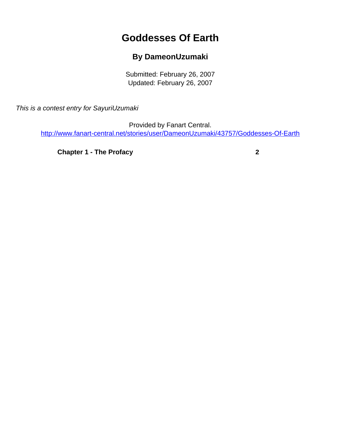## **Goddesses Of Earth**

## **By DameonUzumaki**

Submitted: February 26, 2007 Updated: February 26, 2007

<span id="page-0-0"></span>This is a contest entry for SayuriUzumaki

Provided by Fanart Central. [http://www.fanart-central.net/stories/user/DameonUzumaki/43757/Goddesses-Of-Earth](#page-0-0)

**[Chapter 1 - The Profacy](#page-1-0) [2](#page-1-0)**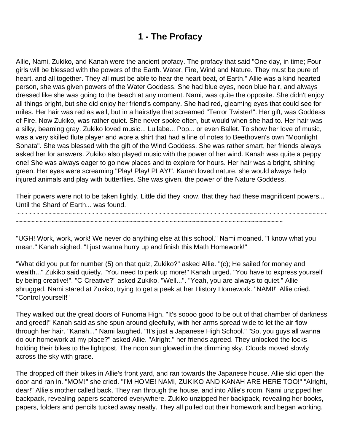## **1 - The Profacy**

<span id="page-1-0"></span>Allie, Nami, Zukiko, and Kanah were the ancient profacy. The profacy that said "One day, in time; Four girls will be blessed with the powers of the Earth. Water, Fire, Wind and Nature. They must be pure of heart, and all together. They all must be able to hear the heart beat, of Earth." Allie was a kind hearted person, she was given powers of the Water Goddess. She had blue eyes, neon blue hair, and always dressed like she was going to the beach at any moment. Nami, was quite the opposite. She didn't enjoy all things bright, but she did enjoy her friend's company. She had red, gleaming eyes that could see for miles. Her hair was red as well, but in a hairstlye that screamed "Terror Twister!". Her gift, was Goddess of Fire. Now Zukiko, was rather quiet. She never spoke often, but would when she had to. Her hair was a silky, beaming gray. Zukiko loved music... Lullabe... Pop... or even Ballet. To show her love of music, was a very skilled flute player and wore a shirt that had a line of notes to Beethoven's own "Moonlight Sonata". She was blessed with the gift of the Wind Goddess. She was rather smart, her friends always asked her for answers. Zukiko also played music with the power of her wind. Kanah was quite a peppy one! She was always eager to go new places and to explore for hours. Her hair was a bright, shining green. Her eyes were screaming "Play! Play! PLAY!". Kanah loved nature, she would always help injured animals and play with butterflies. She was given, the power of the Nature Goddess.

Their powers were not to be taken lightly. Little did they know, that they had these magnificent powers... Until the Shard of Earth... was found.

~~~~~~~~~~~~~~~~~~~~~~~~~~~~~~~~~~~~~~~~~~~~~~~~~~~~~~~~~~~~~~~~~~~~~~~~~~~~~~~

~~~~~~~~~~~~~~~~~~~~~~~~~~~~~~~~~~~~~~~~~~~~~~~~~~~~~~~~~~~~~~~~~~~~

"UGH! Work, work, work! We never do anything else at this school." Nami moaned. "I know what you mean." Kanah sighed. "I just wanna hurry up and finish this Math Homework!"

"What did you put for number (5) on that quiz, Zukiko?" asked Allie. "(c); He sailed for money and wealth..." Zukiko said quietly. "You need to perk up more!" Kanah urged. "You have to express yourself by being creative!". "C-Creative?" asked Zukiko. "Well...". "Yeah, you are always to quiet." Allie shrugged. Nami stared at Zukiko, trying to get a peek at her History Homework. "NAMI!" Allie cried. "Control yourself!"

They walked out the great doors of Funoma High. "It's soooo good to be out of that chamber of darkness and greed!" Kanah said as she spun around gleefully, with her arms spread wide to let the air flow through her hair. "Kanah..." Nami laughed. "It's just a Japanese High School." "So, you guys all wanna do our homework at my place?" asked Allie. "Alright." her friends agreed. They unlocked the locks holding their bikes to the lightpost. The noon sun glowed in the dimming sky. Clouds moved slowly across the sky with grace.

The dropped off their bikes in Allie's front yard, and ran towards the Japanese house. Allie slid open the door and ran in. "MOM!" she cried. "I'M HOME! NAMI, ZUKIKO AND KANAH ARE HERE TOO!" "Alright, dear!" Allie's mother called back. They ran through the house, and into Allie's room. Nami unzipped her backpack, revealing papers scattered everywhere. Zukiko unzipped her backpack, revealing her books, papers, folders and pencils tucked away neatly. They all pulled out their homework and began working.